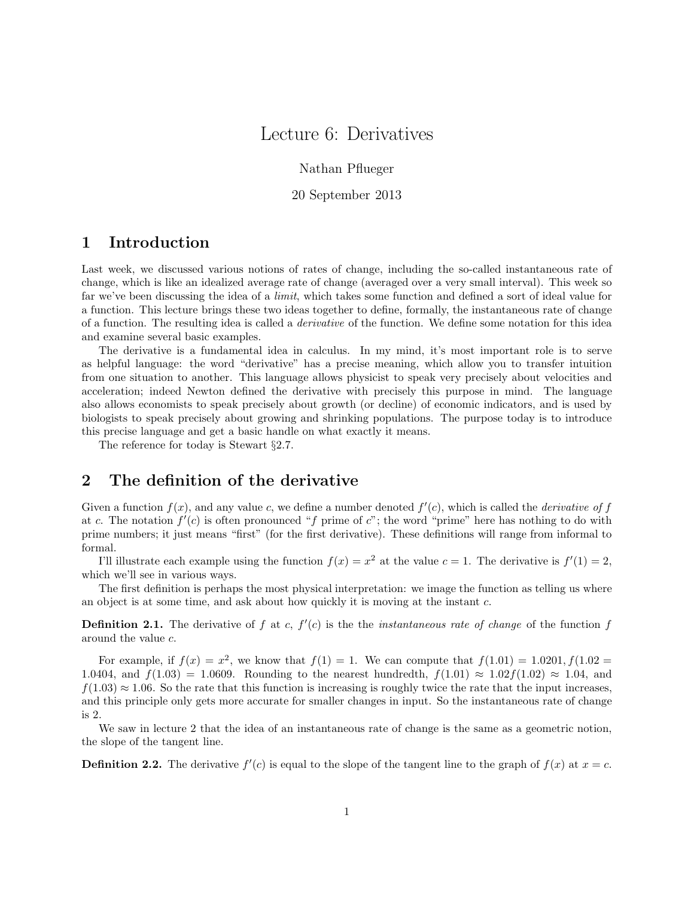# Lecture 6: Derivatives

Nathan Pflueger

20 September 2013

### 1 Introduction

Last week, we discussed various notions of rates of change, including the so-called instantaneous rate of change, which is like an idealized average rate of change (averaged over a very small interval). This week so far we've been discussing the idea of a limit, which takes some function and defined a sort of ideal value for a function. This lecture brings these two ideas together to define, formally, the instantaneous rate of change of a function. The resulting idea is called a derivative of the function. We define some notation for this idea and examine several basic examples.

The derivative is a fundamental idea in calculus. In my mind, it's most important role is to serve as helpful language: the word "derivative" has a precise meaning, which allow you to transfer intuition from one situation to another. This language allows physicist to speak very precisely about velocities and acceleration; indeed Newton defined the derivative with precisely this purpose in mind. The language also allows economists to speak precisely about growth (or decline) of economic indicators, and is used by biologists to speak precisely about growing and shrinking populations. The purpose today is to introduce this precise language and get a basic handle on what exactly it means.

The reference for today is Stewart §2.7.

### 2 The definition of the derivative

Given a function  $f(x)$ , and any value c, we define a number denoted  $f'(c)$ , which is called the *derivative* of f at c. The notation  $f'(c)$  is often pronounced "f prime of c"; the word "prime" here has nothing to do with prime numbers; it just means "first" (for the first derivative). These definitions will range from informal to formal.

I'll illustrate each example using the function  $f(x) = x^2$  at the value  $c = 1$ . The derivative is  $f'(1) = 2$ , which we'll see in various ways.

The first definition is perhaps the most physical interpretation: we image the function as telling us where an object is at some time, and ask about how quickly it is moving at the instant c.

**Definition 2.1.** The derivative of f at c,  $f'(c)$  is the the *instantaneous rate of change* of the function f around the value c.

For example, if  $f(x) = x^2$ , we know that  $f(1) = 1$ . We can compute that  $f(1.01) = 1.0201$ ,  $f(1.02) =$ 1.0404, and  $f(1.03) = 1.0609$ . Rounding to the nearest hundredth,  $f(1.01) \approx 1.02 f(1.02) \approx 1.04$ , and  $f(1.03) \approx 1.06$ . So the rate that this function is increasing is roughly twice the rate that the input increases, and this principle only gets more accurate for smaller changes in input. So the instantaneous rate of change is 2.

We saw in lecture 2 that the idea of an instantaneous rate of change is the same as a geometric notion, the slope of the tangent line.

**Definition 2.2.** The derivative  $f'(c)$  is equal to the slope of the tangent line to the graph of  $f(x)$  at  $x = c$ .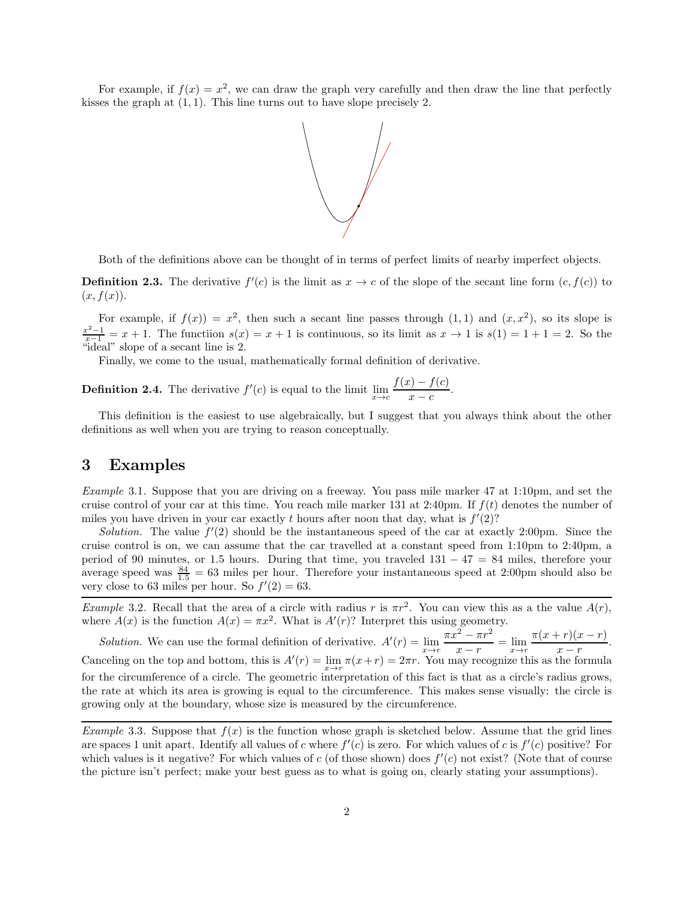For example, if  $f(x) = x^2$ , we can draw the graph very carefully and then draw the line that perfectly kisses the graph at  $(1, 1)$ . This line turns out to have slope precisely 2.



Both of the definitions above can be thought of in terms of perfect limits of nearby imperfect objects.

**Definition 2.3.** The derivative  $f'(c)$  is the limit as  $x \to c$  of the slope of the secant line form  $(c, f(c))$  to  $(x, f(x))$ .

For example, if  $f(x) = x^2$ , then such a secant line passes through  $(1,1)$  and  $(x,x^2)$ , so its slope is  $\frac{x^2-1}{x-1} = x+1$ . The functiion  $s(x) = x+1$  is continuous, so its limit as  $x \to 1$  is  $s(1) = 1+1 = 2$ . So the "ideal" slope of a secant line is 2.

Finally, we come to the usual, mathematically formal definition of derivative.

**Definition 2.4.** The derivative  $f'(c)$  is equal to the limit  $\lim_{x \to c} \frac{f(x) - f(c)}{x - c}$  $\frac{f(z)}{x-c}.$ 

This definition is the easiest to use algebraically, but I suggest that you always think about the other definitions as well when you are trying to reason conceptually.

#### 3 Examples

Example 3.1. Suppose that you are driving on a freeway. You pass mile marker 47 at 1:10pm, and set the cruise control of your car at this time. You reach mile marker 131 at 2:40pm. If  $f(t)$  denotes the number of miles you have driven in your car exactly t hours after noon that day, what is  $f'(2)$ ?

Solution. The value  $f'(2)$  should be the instantaneous speed of the car at exactly 2:00pm. Since the cruise control is on, we can assume that the car travelled at a constant speed from 1:10pm to 2:40pm, a period of 90 minutes, or 1.5 hours. During that time, you traveled  $131 - 47 = 84$  miles, therefore your average speed was  $\frac{84}{1.5} = 63$  miles per hour. Therefore your instantaneous speed at 2:00pm should also be very close to 63 miles per hour. So  $f'(2) = 63$ .

Example 3.2. Recall that the area of a circle with radius r is  $\pi r^2$ . You can view this as a the value  $A(r)$ , where  $A(x)$  is the function  $A(x) = \pi x^2$ . What is  $A'(r)$ ? Interpret this using geometry.

Solution. We can use the formal definition of derivative.  $A'(r) = \lim_{x \to r} \frac{\pi x^2 - \pi r^2}{x - r}$  $\frac{x^{2}-\pi r^{2}}{x-r} = \lim_{x \to r} \frac{\pi(x+r)(x-r)}{x-r}$  $\frac{x-r}{x+r}$ . Canceling on the top and bottom, this is  $A'(r) = \lim_{x \to r} \pi(x+r) = 2\pi r$ . You may recognize this as the formula for the circumference of a circle. The geometric interpretation of this fact is that as a circle's radius grows, the rate at which its area is growing is equal to the circumference. This makes sense visually: the circle is growing only at the boundary, whose size is measured by the circumference.

Example 3.3. Suppose that  $f(x)$  is the function whose graph is sketched below. Assume that the grid lines are spaces 1 unit apart. Identify all values of c where  $f'(c)$  is zero. For which values of c is  $f'(c)$  positive? For which values is it negative? For which values of c (of those shown) does  $f'(c)$  not exist? (Note that of course the picture isn't perfect; make your best guess as to what is going on, clearly stating your assumptions).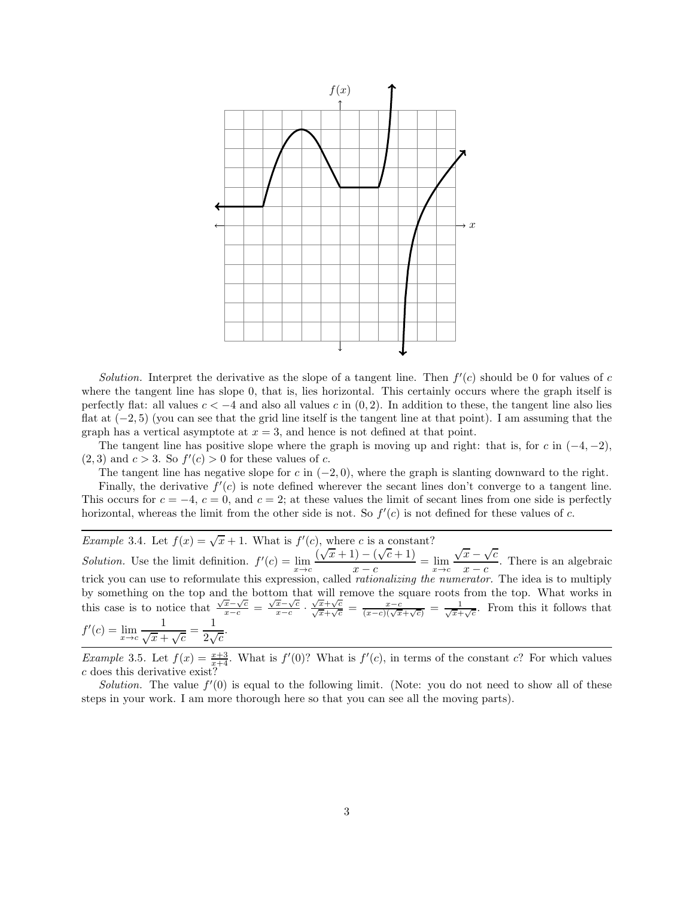

Solution. Interpret the derivative as the slope of a tangent line. Then  $f'(c)$  should be 0 for values of c where the tangent line has slope 0, that is, lies horizontal. This certainly occurs where the graph itself is perfectly flat: all values  $c < -4$  and also all values c in  $(0, 2)$ . In addition to these, the tangent line also lies flat at (−2, 5) (you can see that the grid line itself is the tangent line at that point). I am assuming that the graph has a vertical asymptote at  $x = 3$ , and hence is not defined at that point.

The tangent line has positive slope where the graph is moving up and right: that is, for c in  $(-4, -2)$ ,  $(2,3)$  and  $c > 3$ . So  $f'(c) > 0$  for these values of c.

The tangent line has negative slope for c in  $(-2,0)$ , where the graph is slanting downward to the right.

Finally, the derivative  $f'(c)$  is note defined wherever the secant lines don't converge to a tangent line. This occurs for  $c = -4$ ,  $c = 0$ , and  $c = 2$ ; at these values the limit of secant lines from one side is perfectly horizontal, whereas the limit from the other side is not. So  $f'(c)$  is not defined for these values of c.

*Example* 3.4. Let  $f(x) = \sqrt{x} + 1$ . What is  $f'(c)$ , where c is a constant? Solution. Use the limit definition.  $f'(c) = \lim_{x \to c} \frac{(\sqrt{x} + 1) - (\sqrt{c} + 1)}{x - c}$  $\frac{x-c}{x+ct} = \lim_{x \to c}$  $\sqrt{x} - \sqrt{c}$  $\frac{x}{x-c}$ . There is an algebraic trick you can use to reformulate this expression, called *rationalizing the numerator*. The idea is to multiply by something on the top and the bottom that will remove the square roots from the top. What works in this case is to notice that  $\frac{\sqrt{x}-\sqrt{c}}{x-c} = \frac{\sqrt{x}-\sqrt{c}}{x-c}$  $\frac{x-c}{c}$ .  $\frac{\sqrt{x}+\sqrt{c}}{\sqrt{x}+\sqrt{c}} = \frac{x-c}{\sqrt{x}+\sqrt{c}}$  From this it follows that  $f'(c) = \lim_{x \to c} \frac{1}{\sqrt{x} + \sqrt{c}} = \frac{1}{2\sqrt{c}}.$ 1 1

*Example* 3.5. Let  $f(x) = \frac{x+3}{x+4}$ . What is  $f'(0)$ ? What is  $f'(c)$ , in terms of the constant c? For which values c does this derivative exist?

Solution. The value  $f'(0)$  is equal to the following limit. (Note: you do not need to show all of these steps in your work. I am more thorough here so that you can see all the moving parts).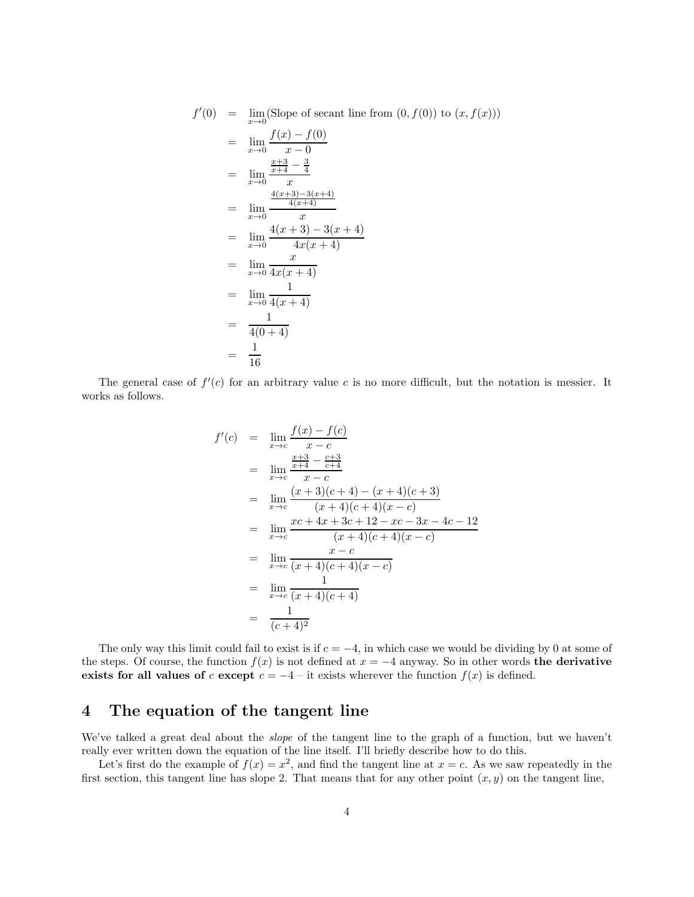$$
f'(0) = \lim_{x \to 0} (\text{Slope of secant line from } (0, f(0)) \text{ to } (x, f(x)))
$$
  
\n
$$
= \lim_{x \to 0} \frac{f(x) - f(0)}{x - 0}
$$
  
\n
$$
= \lim_{x \to 0} \frac{\frac{x+3}{x+4} - \frac{3}{4}}{x}
$$
  
\n
$$
= \lim_{x \to 0} \frac{\frac{4(x+3)-3(x+4)}{4(x+4)}}{x}
$$
  
\n
$$
= \lim_{x \to 0} \frac{4(x+3) - 3(x+4)}{4x(x+4)}
$$
  
\n
$$
= \lim_{x \to 0} \frac{x}{4x(x+4)}
$$
  
\n
$$
= \lim_{x \to 0} \frac{1}{4(x+4)}
$$
  
\n
$$
= \frac{1}{4(0+4)}
$$
  
\n
$$
= \frac{1}{16}
$$

The general case of  $f'(c)$  for an arbitrary value c is no more difficult, but the notation is messier. It works as follows.

$$
f'(c) = \lim_{x \to c} \frac{f(x) - f(c)}{x - c}
$$
  
\n
$$
= \lim_{x \to c} \frac{\frac{x+3}{x+4} - \frac{c+3}{c+4}}{x - c}
$$
  
\n
$$
= \lim_{x \to c} \frac{(x+3)(c+4) - (x+4)(c+3)}{(x+4)(c+4)(x - c)}
$$
  
\n
$$
= \lim_{x \to c} \frac{xc + 4x + 3c + 12 - xc - 3x - 4c - 12}{(x+4)(c+4)(x - c)}
$$
  
\n
$$
= \lim_{x \to c} \frac{x - c}{(x+4)(c+4)}
$$
  
\n
$$
= \lim_{x \to c} \frac{1}{(x+4)^2}
$$

The only way this limit could fail to exist is if  $c = -4$ , in which case we would be dividing by 0 at some of the steps. Of course, the function  $f(x)$  is not defined at  $x = -4$  anyway. So in other words the derivative exists for all values of c except  $c = -4$  – it exists wherever the function  $f(x)$  is defined.

## 4 The equation of the tangent line

We've talked a great deal about the *slope* of the tangent line to the graph of a function, but we haven't really ever written down the equation of the line itself. I'll briefly describe how to do this.

Let's first do the example of  $f(x) = x^2$ , and find the tangent line at  $x = c$ . As we saw repeatedly in the first section, this tangent line has slope 2. That means that for any other point  $(x, y)$  on the tangent line,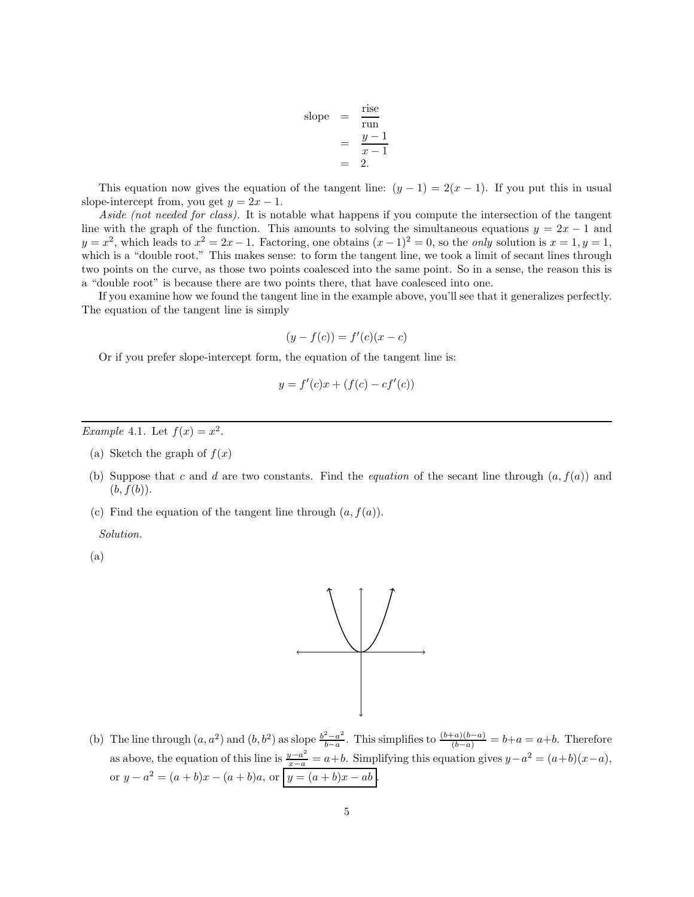slope 
$$
=
$$
  $\frac{\text{rise}}{\text{run}}$   
 $=$   $\frac{y-1}{x-1}$   
 $=$  2.

This equation now gives the equation of the tangent line:  $(y - 1) = 2(x - 1)$ . If you put this in usual slope-intercept from, you get  $y = 2x - 1$ .

Aside (not needed for class). It is notable what happens if you compute the intersection of the tangent line with the graph of the function. This amounts to solving the simultaneous equations  $y = 2x - 1$  and  $y = x^2$ , which leads to  $x^2 = 2x - 1$ . Factoring, one obtains  $(x - 1)^2 = 0$ , so the *only* solution is  $x = 1, y = 1$ , which is a "double root." This makes sense: to form the tangent line, we took a limit of secant lines through two points on the curve, as those two points coalesced into the same point. So in a sense, the reason this is a "double root" is because there are two points there, that have coalesced into one.

If you examine how we found the tangent line in the example above, you'll see that it generalizes perfectly. The equation of the tangent line is simply

$$
(y - f(c)) = f'(c)(x - c)
$$

Or if you prefer slope-intercept form, the equation of the tangent line is:

$$
y = f'(c)x + (f(c) - cf'(c))
$$

Example 4.1. Let  $f(x) = x^2$ .

- (a) Sketch the graph of  $f(x)$
- (b) Suppose that c and d are two constants. Find the *equation* of the secant line through  $(a, f(a))$  and  $(b, f(b)).$
- (c) Find the equation of the tangent line through  $(a, f(a))$ .

Solution.

(a)



(b) The line through  $(a, a^2)$  and  $(b, b^2)$  as slope  $\frac{b^2-a^2}{b-a}$  $\frac{b-a^2}{b-a}$ . This simplifies to  $\frac{(b+a)(b-a)}{(b-a)} = b+a = a+b$ . Therefore as above, the equation of this line is  $\frac{y-a^2}{x-a} = a+b$ . Simplifying this equation gives  $y-a^2 = (a+b)(x-a)$ , or  $y - a^2 = (a + b)x - (a + b)a$ , or  $y = (a + b)x - ab$ .